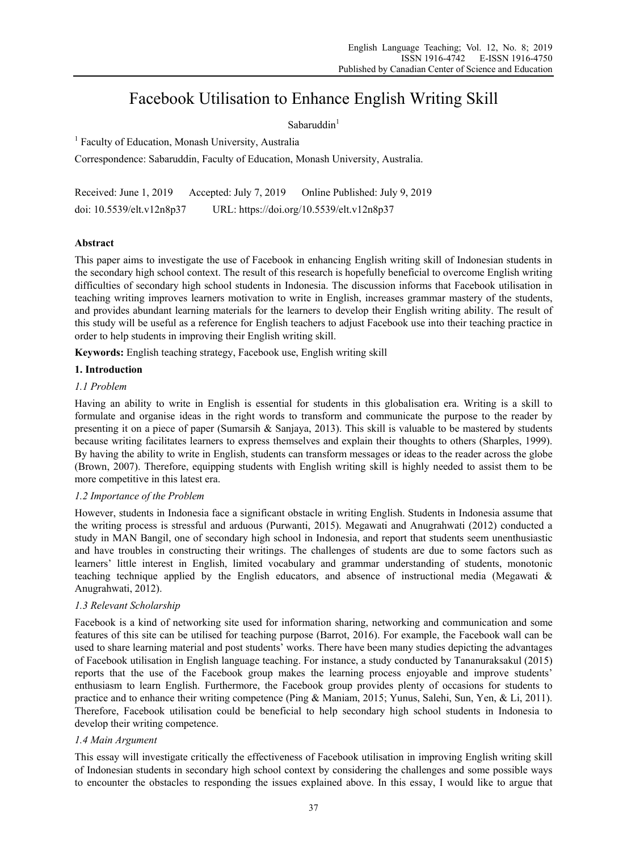# Facebook Utilisation to Enhance English Writing Skill

# $S$ abaruddin $<sup>1</sup>$ </sup>

<sup>1</sup> Faculty of Education, Monash University, Australia

Correspondence: Sabaruddin, Faculty of Education, Monash University, Australia.

Received: June 1, 2019 Accepted: July 7, 2019 Online Published: July 9, 2019 doi: 10.5539/elt.v12n8p37 URL: https://doi.org/10.5539/elt.v12n8p37

# **Abstract**

This paper aims to investigate the use of Facebook in enhancing English writing skill of Indonesian students in the secondary high school context. The result of this research is hopefully beneficial to overcome English writing difficulties of secondary high school students in Indonesia. The discussion informs that Facebook utilisation in teaching writing improves learners motivation to write in English, increases grammar mastery of the students, and provides abundant learning materials for the learners to develop their English writing ability. The result of this study will be useful as a reference for English teachers to adjust Facebook use into their teaching practice in order to help students in improving their English writing skill.

**Keywords:** English teaching strategy, Facebook use, English writing skill

# **1. Introduction**

## *1.1 Problem*

Having an ability to write in English is essential for students in this globalisation era. Writing is a skill to formulate and organise ideas in the right words to transform and communicate the purpose to the reader by presenting it on a piece of paper (Sumarsih & Sanjaya, 2013). This skill is valuable to be mastered by students because writing facilitates learners to express themselves and explain their thoughts to others (Sharples, 1999). By having the ability to write in English, students can transform messages or ideas to the reader across the globe (Brown, 2007). Therefore, equipping students with English writing skill is highly needed to assist them to be more competitive in this latest era.

## *1.2 Importance of the Problem*

However, students in Indonesia face a significant obstacle in writing English. Students in Indonesia assume that the writing process is stressful and arduous (Purwanti, 2015). Megawati and Anugrahwati (2012) conducted a study in MAN Bangil, one of secondary high school in Indonesia, and report that students seem unenthusiastic and have troubles in constructing their writings. The challenges of students are due to some factors such as learners' little interest in English, limited vocabulary and grammar understanding of students, monotonic teaching technique applied by the English educators, and absence of instructional media (Megawati & Anugrahwati, 2012).

# *1.3 Relevant Scholarship*

Facebook is a kind of networking site used for information sharing, networking and communication and some features of this site can be utilised for teaching purpose (Barrot, 2016). For example, the Facebook wall can be used to share learning material and post students' works. There have been many studies depicting the advantages of Facebook utilisation in English language teaching. For instance, a study conducted by Tananuraksakul (2015) reports that the use of the Facebook group makes the learning process enjoyable and improve students' enthusiasm to learn English. Furthermore, the Facebook group provides plenty of occasions for students to practice and to enhance their writing competence (Ping & Maniam, 2015; Yunus, Salehi, Sun, Yen, & Li, 2011). Therefore, Facebook utilisation could be beneficial to help secondary high school students in Indonesia to develop their writing competence.

## *1.4 Main Argument*

This essay will investigate critically the effectiveness of Facebook utilisation in improving English writing skill of Indonesian students in secondary high school context by considering the challenges and some possible ways to encounter the obstacles to responding the issues explained above. In this essay, I would like to argue that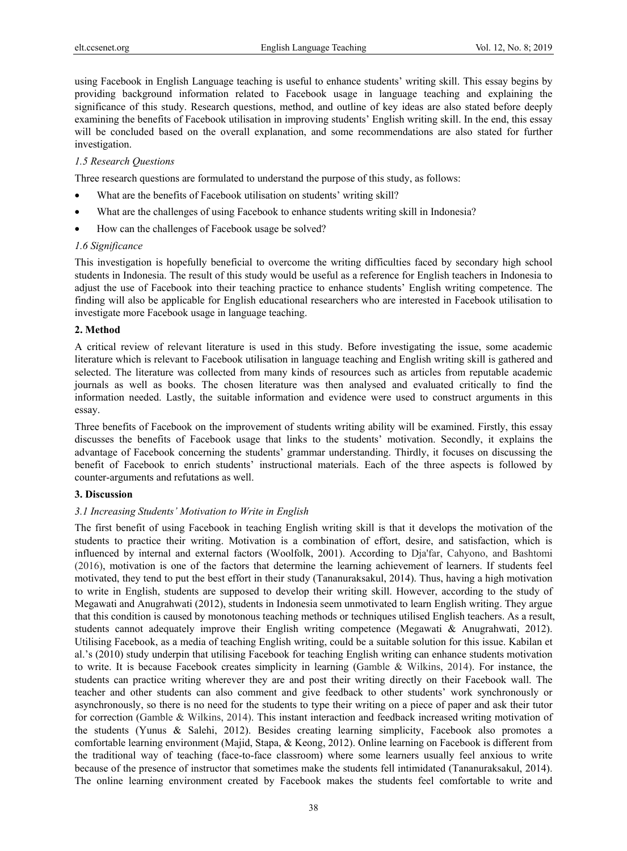using Facebook in English Language teaching is useful to enhance students' writing skill. This essay begins by providing background information related to Facebook usage in language teaching and explaining the significance of this study. Research questions, method, and outline of key ideas are also stated before deeply examining the benefits of Facebook utilisation in improving students' English writing skill. In the end, this essay will be concluded based on the overall explanation, and some recommendations are also stated for further investigation.

### *1.5 Research Questions*

Three research questions are formulated to understand the purpose of this study, as follows:

- What are the benefits of Facebook utilisation on students' writing skill?
- What are the challenges of using Facebook to enhance students writing skill in Indonesia?
- How can the challenges of Facebook usage be solved?

#### *1.6 Significance*

This investigation is hopefully beneficial to overcome the writing difficulties faced by secondary high school students in Indonesia. The result of this study would be useful as a reference for English teachers in Indonesia to adjust the use of Facebook into their teaching practice to enhance students' English writing competence. The finding will also be applicable for English educational researchers who are interested in Facebook utilisation to investigate more Facebook usage in language teaching.

#### **2. Method**

A critical review of relevant literature is used in this study. Before investigating the issue, some academic literature which is relevant to Facebook utilisation in language teaching and English writing skill is gathered and selected. The literature was collected from many kinds of resources such as articles from reputable academic journals as well as books. The chosen literature was then analysed and evaluated critically to find the information needed. Lastly, the suitable information and evidence were used to construct arguments in this essay.

Three benefits of Facebook on the improvement of students writing ability will be examined. Firstly, this essay discusses the benefits of Facebook usage that links to the students' motivation. Secondly, it explains the advantage of Facebook concerning the students' grammar understanding. Thirdly, it focuses on discussing the benefit of Facebook to enrich students' instructional materials. Each of the three aspects is followed by counter-arguments and refutations as well.

#### **3. Discussion**

#### *3.1 Increasing Students' Motivation to Write in English*

The first benefit of using Facebook in teaching English writing skill is that it develops the motivation of the students to practice their writing. Motivation is a combination of effort, desire, and satisfaction, which is influenced by internal and external factors (Woolfolk, 2001). According to Dja'far, Cahyono, and Bashtomi (2016), motivation is one of the factors that determine the learning achievement of learners. If students feel motivated, they tend to put the best effort in their study (Tananuraksakul, 2014). Thus, having a high motivation to write in English, students are supposed to develop their writing skill. However, according to the study of Megawati and Anugrahwati (2012), students in Indonesia seem unmotivated to learn English writing. They argue that this condition is caused by monotonous teaching methods or techniques utilised English teachers. As a result, students cannot adequately improve their English writing competence (Megawati & Anugrahwati, 2012). Utilising Facebook, as a media of teaching English writing, could be a suitable solution for this issue. Kabilan et al.'s (2010) study underpin that utilising Facebook for teaching English writing can enhance students motivation to write. It is because Facebook creates simplicity in learning (Gamble & Wilkins, 2014). For instance, the students can practice writing wherever they are and post their writing directly on their Facebook wall. The teacher and other students can also comment and give feedback to other students' work synchronously or asynchronously, so there is no need for the students to type their writing on a piece of paper and ask their tutor for correction (Gamble & Wilkins, 2014). This instant interaction and feedback increased writing motivation of the students (Yunus & Salehi, 2012). Besides creating learning simplicity, Facebook also promotes a comfortable learning environment (Majid, Stapa, & Keong, 2012). Online learning on Facebook is different from the traditional way of teaching (face-to-face classroom) where some learners usually feel anxious to write because of the presence of instructor that sometimes make the students fell intimidated (Tananuraksakul, 2014). The online learning environment created by Facebook makes the students feel comfortable to write and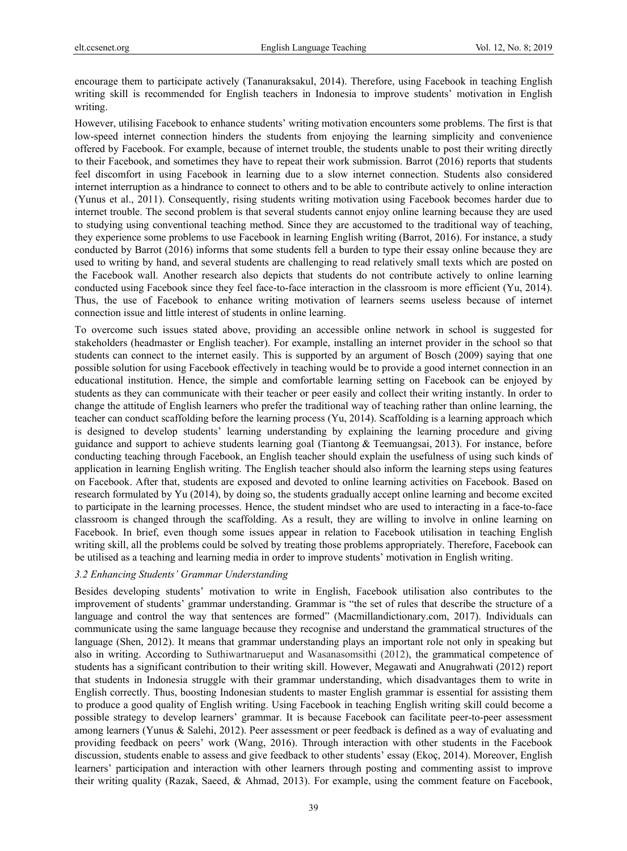encourage them to participate actively (Tananuraksakul, 2014). Therefore, using Facebook in teaching English writing skill is recommended for English teachers in Indonesia to improve students' motivation in English writing.

However, utilising Facebook to enhance students' writing motivation encounters some problems. The first is that low-speed internet connection hinders the students from enjoying the learning simplicity and convenience offered by Facebook. For example, because of internet trouble, the students unable to post their writing directly to their Facebook, and sometimes they have to repeat their work submission. Barrot (2016) reports that students feel discomfort in using Facebook in learning due to a slow internet connection. Students also considered internet interruption as a hindrance to connect to others and to be able to contribute actively to online interaction (Yunus et al., 2011). Consequently, rising students writing motivation using Facebook becomes harder due to internet trouble. The second problem is that several students cannot enjoy online learning because they are used to studying using conventional teaching method. Since they are accustomed to the traditional way of teaching, they experience some problems to use Facebook in learning English writing (Barrot, 2016). For instance, a study conducted by Barrot (2016) informs that some students fell a burden to type their essay online because they are used to writing by hand, and several students are challenging to read relatively small texts which are posted on the Facebook wall. Another research also depicts that students do not contribute actively to online learning conducted using Facebook since they feel face-to-face interaction in the classroom is more efficient (Yu, 2014). Thus, the use of Facebook to enhance writing motivation of learners seems useless because of internet connection issue and little interest of students in online learning.

To overcome such issues stated above, providing an accessible online network in school is suggested for stakeholders (headmaster or English teacher). For example, installing an internet provider in the school so that students can connect to the internet easily. This is supported by an argument of Bosch (2009) saying that one possible solution for using Facebook effectively in teaching would be to provide a good internet connection in an educational institution. Hence, the simple and comfortable learning setting on Facebook can be enjoyed by students as they can communicate with their teacher or peer easily and collect their writing instantly. In order to change the attitude of English learners who prefer the traditional way of teaching rather than online learning, the teacher can conduct scaffolding before the learning process (Yu, 2014). Scaffolding is a learning approach which is designed to develop students' learning understanding by explaining the learning procedure and giving guidance and support to achieve students learning goal (Tiantong & Teemuangsai, 2013). For instance, before conducting teaching through Facebook, an English teacher should explain the usefulness of using such kinds of application in learning English writing. The English teacher should also inform the learning steps using features on Facebook. After that, students are exposed and devoted to online learning activities on Facebook. Based on research formulated by Yu (2014), by doing so, the students gradually accept online learning and become excited to participate in the learning processes. Hence, the student mindset who are used to interacting in a face-to-face classroom is changed through the scaffolding. As a result, they are willing to involve in online learning on Facebook. In brief, even though some issues appear in relation to Facebook utilisation in teaching English writing skill, all the problems could be solved by treating those problems appropriately. Therefore, Facebook can be utilised as a teaching and learning media in order to improve students' motivation in English writing.

## *3.2 Enhancing Students' Grammar Understanding*

Besides developing students' motivation to write in English, Facebook utilisation also contributes to the improvement of students' grammar understanding. Grammar is "the set of rules that describe the structure of a language and control the way that sentences are formed" (Macmillandictionary.com, 2017). Individuals can communicate using the same language because they recognise and understand the grammatical structures of the language (Shen, 2012). It means that grammar understanding plays an important role not only in speaking but also in writing. According to Suthiwartnarueput and Wasanasomsithi (2012), the grammatical competence of students has a significant contribution to their writing skill. However, Megawati and Anugrahwati (2012) report that students in Indonesia struggle with their grammar understanding, which disadvantages them to write in English correctly. Thus, boosting Indonesian students to master English grammar is essential for assisting them to produce a good quality of English writing. Using Facebook in teaching English writing skill could become a possible strategy to develop learners' grammar. It is because Facebook can facilitate peer-to-peer assessment among learners (Yunus & Salehi, 2012). Peer assessment or peer feedback is defined as a way of evaluating and providing feedback on peers' work (Wang, 2016). Through interaction with other students in the Facebook discussion, students enable to assess and give feedback to other students' essay (Ekoç, 2014). Moreover, English learners' participation and interaction with other learners through posting and commenting assist to improve their writing quality (Razak, Saeed, & Ahmad, 2013). For example, using the comment feature on Facebook,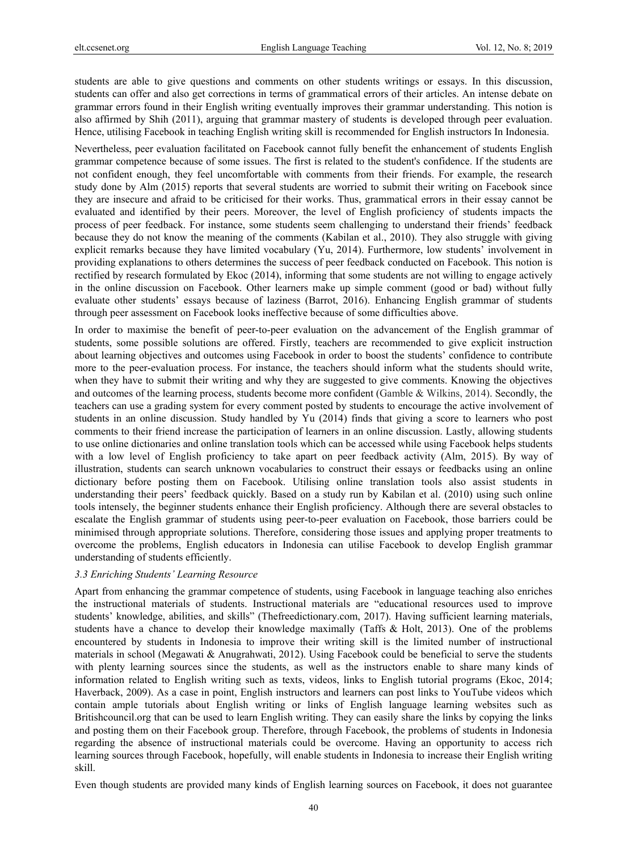students are able to give questions and comments on other students writings or essays. In this discussion, students can offer and also get corrections in terms of grammatical errors of their articles. An intense debate on grammar errors found in their English writing eventually improves their grammar understanding. This notion is also affirmed by Shih (2011), arguing that grammar mastery of students is developed through peer evaluation. Hence, utilising Facebook in teaching English writing skill is recommended for English instructors In Indonesia.

Nevertheless, peer evaluation facilitated on Facebook cannot fully benefit the enhancement of students English grammar competence because of some issues. The first is related to the student's confidence. If the students are not confident enough, they feel uncomfortable with comments from their friends. For example, the research study done by Alm (2015) reports that several students are worried to submit their writing on Facebook since they are insecure and afraid to be criticised for their works. Thus, grammatical errors in their essay cannot be evaluated and identified by their peers. Moreover, the level of English proficiency of students impacts the process of peer feedback. For instance, some students seem challenging to understand their friends' feedback because they do not know the meaning of the comments (Kabilan et al., 2010). They also struggle with giving explicit remarks because they have limited vocabulary (Yu, 2014). Furthermore, low students' involvement in providing explanations to others determines the success of peer feedback conducted on Facebook. This notion is rectified by research formulated by Ekoc (2014), informing that some students are not willing to engage actively in the online discussion on Facebook. Other learners make up simple comment (good or bad) without fully evaluate other students' essays because of laziness (Barrot, 2016). Enhancing English grammar of students through peer assessment on Facebook looks ineffective because of some difficulties above.

In order to maximise the benefit of peer-to-peer evaluation on the advancement of the English grammar of students, some possible solutions are offered. Firstly, teachers are recommended to give explicit instruction about learning objectives and outcomes using Facebook in order to boost the students' confidence to contribute more to the peer-evaluation process. For instance, the teachers should inform what the students should write, when they have to submit their writing and why they are suggested to give comments. Knowing the objectives and outcomes of the learning process, students become more confident (Gamble & Wilkins, 2014). Secondly, the teachers can use a grading system for every comment posted by students to encourage the active involvement of students in an online discussion. Study handled by Yu (2014) finds that giving a score to learners who post comments to their friend increase the participation of learners in an online discussion. Lastly, allowing students to use online dictionaries and online translation tools which can be accessed while using Facebook helps students with a low level of English proficiency to take apart on peer feedback activity (Alm, 2015). By way of illustration, students can search unknown vocabularies to construct their essays or feedbacks using an online dictionary before posting them on Facebook. Utilising online translation tools also assist students in understanding their peers' feedback quickly. Based on a study run by Kabilan et al. (2010) using such online tools intensely, the beginner students enhance their English proficiency. Although there are several obstacles to escalate the English grammar of students using peer-to-peer evaluation on Facebook, those barriers could be minimised through appropriate solutions. Therefore, considering those issues and applying proper treatments to overcome the problems, English educators in Indonesia can utilise Facebook to develop English grammar understanding of students efficiently.

#### *3.3 Enriching Students' Learning Resource*

Apart from enhancing the grammar competence of students, using Facebook in language teaching also enriches the instructional materials of students. Instructional materials are "educational resources used to improve students' knowledge, abilities, and skills" (Thefreedictionary.com, 2017). Having sufficient learning materials, students have a chance to develop their knowledge maximally (Taffs & Holt, 2013). One of the problems encountered by students in Indonesia to improve their writing skill is the limited number of instructional materials in school (Megawati & Anugrahwati, 2012). Using Facebook could be beneficial to serve the students with plenty learning sources since the students, as well as the instructors enable to share many kinds of information related to English writing such as texts, videos, links to English tutorial programs (Ekoc, 2014; Haverback, 2009). As a case in point, English instructors and learners can post links to YouTube videos which contain ample tutorials about English writing or links of English language learning websites such as Britishcouncil.org that can be used to learn English writing. They can easily share the links by copying the links and posting them on their Facebook group. Therefore, through Facebook, the problems of students in Indonesia regarding the absence of instructional materials could be overcome. Having an opportunity to access rich learning sources through Facebook, hopefully, will enable students in Indonesia to increase their English writing skill.

Even though students are provided many kinds of English learning sources on Facebook, it does not guarantee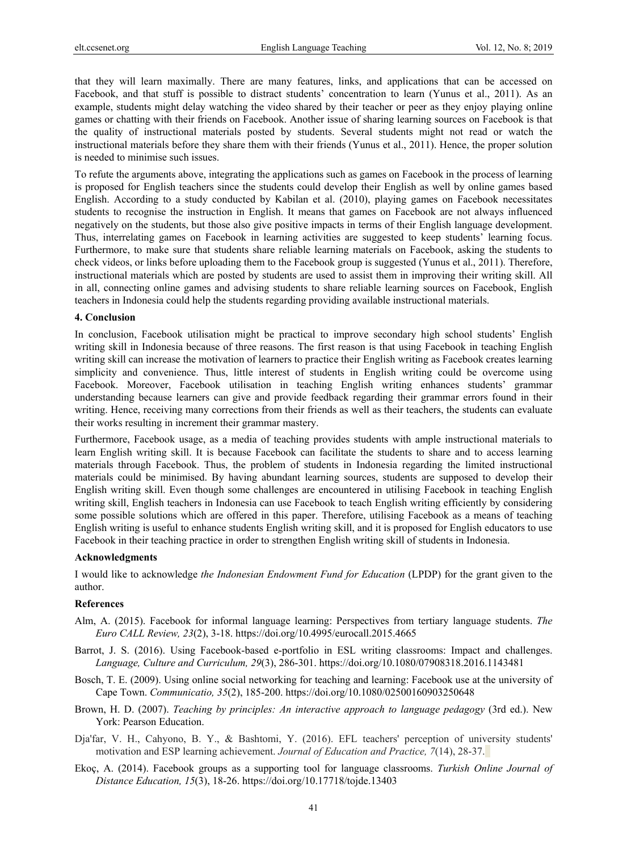that they will learn maximally. There are many features, links, and applications that can be accessed on Facebook, and that stuff is possible to distract students' concentration to learn (Yunus et al., 2011). As an example, students might delay watching the video shared by their teacher or peer as they enjoy playing online games or chatting with their friends on Facebook. Another issue of sharing learning sources on Facebook is that the quality of instructional materials posted by students. Several students might not read or watch the instructional materials before they share them with their friends (Yunus et al., 2011). Hence, the proper solution is needed to minimise such issues.

To refute the arguments above, integrating the applications such as games on Facebook in the process of learning is proposed for English teachers since the students could develop their English as well by online games based English. According to a study conducted by Kabilan et al. (2010), playing games on Facebook necessitates students to recognise the instruction in English. It means that games on Facebook are not always influenced negatively on the students, but those also give positive impacts in terms of their English language development. Thus, interrelating games on Facebook in learning activities are suggested to keep students' learning focus. Furthermore, to make sure that students share reliable learning materials on Facebook, asking the students to check videos, or links before uploading them to the Facebook group is suggested (Yunus et al., 2011). Therefore, instructional materials which are posted by students are used to assist them in improving their writing skill. All in all, connecting online games and advising students to share reliable learning sources on Facebook, English teachers in Indonesia could help the students regarding providing available instructional materials.

#### **4. Conclusion**

In conclusion, Facebook utilisation might be practical to improve secondary high school students' English writing skill in Indonesia because of three reasons. The first reason is that using Facebook in teaching English writing skill can increase the motivation of learners to practice their English writing as Facebook creates learning simplicity and convenience. Thus, little interest of students in English writing could be overcome using Facebook. Moreover, Facebook utilisation in teaching English writing enhances students' grammar understanding because learners can give and provide feedback regarding their grammar errors found in their writing. Hence, receiving many corrections from their friends as well as their teachers, the students can evaluate their works resulting in increment their grammar mastery.

Furthermore, Facebook usage, as a media of teaching provides students with ample instructional materials to learn English writing skill. It is because Facebook can facilitate the students to share and to access learning materials through Facebook. Thus, the problem of students in Indonesia regarding the limited instructional materials could be minimised. By having abundant learning sources, students are supposed to develop their English writing skill. Even though some challenges are encountered in utilising Facebook in teaching English writing skill, English teachers in Indonesia can use Facebook to teach English writing efficiently by considering some possible solutions which are offered in this paper. Therefore, utilising Facebook as a means of teaching English writing is useful to enhance students English writing skill, and it is proposed for English educators to use Facebook in their teaching practice in order to strengthen English writing skill of students in Indonesia.

#### **Acknowledgments**

I would like to acknowledge *the Indonesian Endowment Fund for Education* (LPDP) for the grant given to the author.

# **References**

- Alm, A. (2015). Facebook for informal language learning: Perspectives from tertiary language students. *The Euro CALL Review, 23*(2), 3-18. https://doi.org/10.4995/eurocall.2015.4665
- Barrot, J. S. (2016). Using Facebook-based e-portfolio in ESL writing classrooms: Impact and challenges. *Language, Culture and Curriculum, 29*(3), 286-301. https://doi.org/10.1080/07908318.2016.1143481
- Bosch, T. E. (2009). Using online social networking for teaching and learning: Facebook use at the university of Cape Town. *Communicatio, 35*(2), 185-200. https://doi.org/10.1080/02500160903250648
- Brown, H. D. (2007). *Teaching by principles: An interactive approach to language pedagogy* (3rd ed.). New York: Pearson Education.
- Dja'far, V. H., Cahyono, B. Y., & Bashtomi, Y. (2016). EFL teachers' perception of university students' motivation and ESP learning achievement. *Journal of Education and Practice, 7*(14), 28-37.
- Ekoç, A. (2014). Facebook groups as a supporting tool for language classrooms. *Turkish Online Journal of Distance Education, 15*(3), 18-26. https://doi.org/10.17718/tojde.13403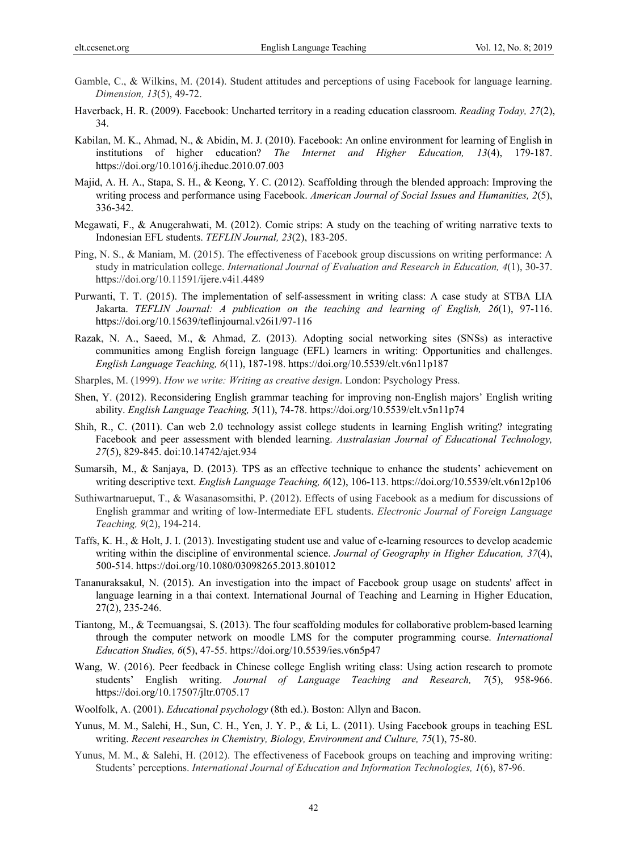- Gamble, C., & Wilkins, M. (2014). Student attitudes and perceptions of using Facebook for language learning. *Dimension, 13*(5), 49-72.
- Haverback, H. R. (2009). Facebook: Uncharted territory in a reading education classroom. *Reading Today, 27*(2), 34.
- Kabilan, M. K., Ahmad, N., & Abidin, M. J. (2010). Facebook: An online environment for learning of English in institutions of higher education? *The Internet and Higher Education, 13*(4), 179-187. https://doi.org/10.1016/j.iheduc.2010.07.003
- Majid, A. H. A., Stapa, S. H., & Keong, Y. C. (2012). Scaffolding through the blended approach: Improving the writing process and performance using Facebook. *American Journal of Social Issues and Humanities, 2*(5), 336-342.
- Megawati, F., & Anugerahwati, M. (2012). Comic strips: A study on the teaching of writing narrative texts to Indonesian EFL students. *TEFLIN Journal, 23*(2), 183-205.
- Ping, N. S., & Maniam, M. (2015). The effectiveness of Facebook group discussions on writing performance: A study in matriculation college. *International Journal of Evaluation and Research in Education, 4*(1), 30-37. https://doi.org/10.11591/ijere.v4i1.4489
- Purwanti, T. T. (2015). The implementation of self-assessment in writing class: A case study at STBA LIA Jakarta. *TEFLIN Journal: A publication on the teaching and learning of English, 26*(1), 97-116. https://doi.org/10.15639/teflinjournal.v26i1/97-116
- Razak, N. A., Saeed, M., & Ahmad, Z. (2013). Adopting social networking sites (SNSs) as interactive communities among English foreign language (EFL) learners in writing: Opportunities and challenges. *English Language Teaching, 6*(11), 187-198. https://doi.org/10.5539/elt.v6n11p187
- Sharples, M. (1999). *How we write: Writing as creative design*. London: Psychology Press.
- Shen, Y. (2012). Reconsidering English grammar teaching for improving non-English majors' English writing ability. *English Language Teaching, 5*(11), 74-78. https://doi.org/10.5539/elt.v5n11p74
- Shih, R., C. (2011). Can web 2.0 technology assist college students in learning English writing? integrating Facebook and peer assessment with blended learning. *Australasian Journal of Educational Technology, 27*(5), 829-845. doi:10.14742/ajet.934
- Sumarsih, M., & Sanjaya, D. (2013). TPS as an effective technique to enhance the students' achievement on writing descriptive text. *English Language Teaching, 6*(12), 106-113. https://doi.org/10.5539/elt.v6n12p106
- Suthiwartnarueput, T., & Wasanasomsithi, P. (2012). Effects of using Facebook as a medium for discussions of English grammar and writing of low-Intermediate EFL students. *Electronic Journal of Foreign Language Teaching, 9*(2), 194-214.
- Taffs, K. H., & Holt, J. I. (2013). Investigating student use and value of e-learning resources to develop academic writing within the discipline of environmental science. *Journal of Geography in Higher Education, 37*(4), 500-514. https://doi.org/10.1080/03098265.2013.801012
- Tananuraksakul, N. (2015). An investigation into the impact of Facebook group usage on students' affect in language learning in a thai context. International Journal of Teaching and Learning in Higher Education, 27(2), 235-246.
- Tiantong, M., & Teemuangsai, S. (2013). The four scaffolding modules for collaborative problem-based learning through the computer network on moodle LMS for the computer programming course. *International Education Studies, 6*(5), 47-55. https://doi.org/10.5539/ies.v6n5p47
- Wang, W. (2016). Peer feedback in Chinese college English writing class: Using action research to promote students' English writing. *Journal of Language Teaching and Research, 7*(5), 958-966. https://doi.org/10.17507/jltr.0705.17
- Woolfolk, A. (2001). *Educational psychology* (8th ed.). Boston: Allyn and Bacon.
- Yunus, M. M., Salehi, H., Sun, C. H., Yen, J. Y. P., & Li, L. (2011). Using Facebook groups in teaching ESL writing. *Recent researches in Chemistry, Biology, Environment and Culture, 75*(1), 75-80.
- Yunus, M. M., & Salehi, H. (2012). The effectiveness of Facebook groups on teaching and improving writing: Students' perceptions. *International Journal of Education and Information Technologies, 1*(6), 87-96.